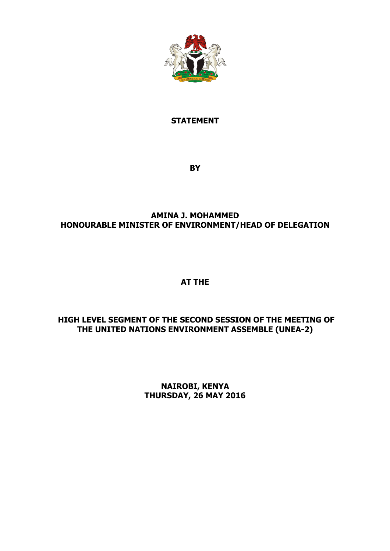

### **STATEMENT**

**BY** 

# **AMINA J. MOHAMMED HONOURABLE MINISTER OF ENVIRONMENT/HEAD OF DELEGATION**

## **AT THE**

# **HIGH LEVEL SEGMENT OF THE SECOND SESSION OF THE MEETING OF THE UNITED NATIONS ENVIRONMENT ASSEMBLE (UNEA-2)**

**NAIROBI, KENYA THURSDAY, 26 MAY 2016**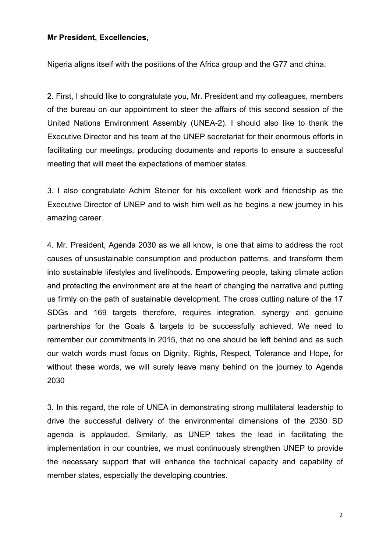#### **Mr President, Excellencies,**

Nigeria aligns itself with the positions of the Africa group and the G77 and china.

2. First, I should like to congratulate you, Mr. President and my colleagues, members of the bureau on our appointment to steer the affairs of this second session of the United Nations Environment Assembly (UNEA-2). I should also like to thank the Executive Director and his team at the UNEP secretariat for their enormous efforts in facilitating our meetings, producing documents and reports to ensure a successful meeting that will meet the expectations of member states.

3. I also congratulate Achim Steiner for his excellent work and friendship as the Executive Director of UNEP and to wish him well as he begins a new journey in his amazing career.

4. Mr. President, Agenda 2030 as we all know, is one that aims to address the root causes of unsustainable consumption and production patterns, and transform them into sustainable lifestyles and livelihoods. Empowering people, taking climate action and protecting the environment are at the heart of changing the narrative and putting us firmly on the path of sustainable development. The cross cutting nature of the 17 SDGs and 169 targets therefore, requires integration, synergy and genuine partnerships for the Goals & targets to be successfully achieved. We need to remember our commitments in 2015, that no one should be left behind and as such our watch words must focus on Dignity, Rights, Respect, Tolerance and Hope, for without these words, we will surely leave many behind on the journey to Agenda 2030

3. In this regard, the role of UNEA in demonstrating strong multilateral leadership to drive the successful delivery of the environmental dimensions of the 2030 SD agenda is applauded. Similarly, as UNEP takes the lead in facilitating the implementation in our countries, we must continuously strengthen UNEP to provide the necessary support that will enhance the technical capacity and capability of member states, especially the developing countries.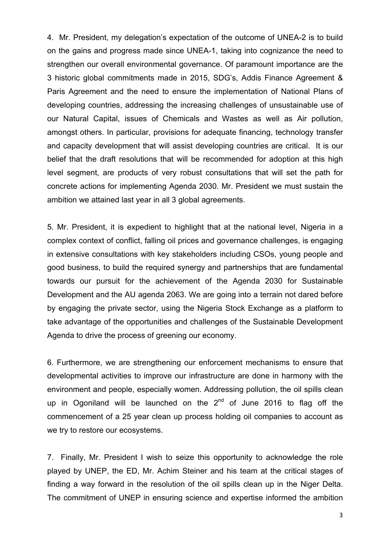4. Mr. President, my delegation's expectation of the outcome of UNEA-2 is to build on the gains and progress made since UNEA-1, taking into cognizance the need to strengthen our overall environmental governance. Of paramount importance are the 3 historic global commitments made in 2015, SDG's, Addis Finance Agreement & Paris Agreement and the need to ensure the implementation of National Plans of developing countries, addressing the increasing challenges of unsustainable use of our Natural Capital, issues of Chemicals and Wastes as well as Air pollution, amongst others. In particular, provisions for adequate financing, technology transfer and capacity development that will assist developing countries are critical. It is our belief that the draft resolutions that will be recommended for adoption at this high level segment, are products of very robust consultations that will set the path for concrete actions for implementing Agenda 2030. Mr. President we must sustain the ambition we attained last year in all 3 global agreements.

5. Mr. President, it is expedient to highlight that at the national level, Nigeria in a complex context of conflict, falling oil prices and governance challenges, is engaging in extensive consultations with key stakeholders including CSOs, young people and good business, to build the required synergy and partnerships that are fundamental towards our pursuit for the achievement of the Agenda 2030 for Sustainable Development and the AU agenda 2063. We are going into a terrain not dared before by engaging the private sector, using the Nigeria Stock Exchange as a platform to take advantage of the opportunities and challenges of the Sustainable Development Agenda to drive the process of greening our economy.

6. Furthermore, we are strengthening our enforcement mechanisms to ensure that developmental activities to improve our infrastructure are done in harmony with the environment and people, especially women. Addressing pollution, the oil spills clean up in Ogoniland will be launched on the  $2^{nd}$  of June 2016 to flag off the commencement of a 25 year clean up process holding oil companies to account as we try to restore our ecosystems.

7. Finally, Mr. President I wish to seize this opportunity to acknowledge the role played by UNEP, the ED, Mr. Achim Steiner and his team at the critical stages of finding a way forward in the resolution of the oil spills clean up in the Niger Delta. The commitment of UNEP in ensuring science and expertise informed the ambition